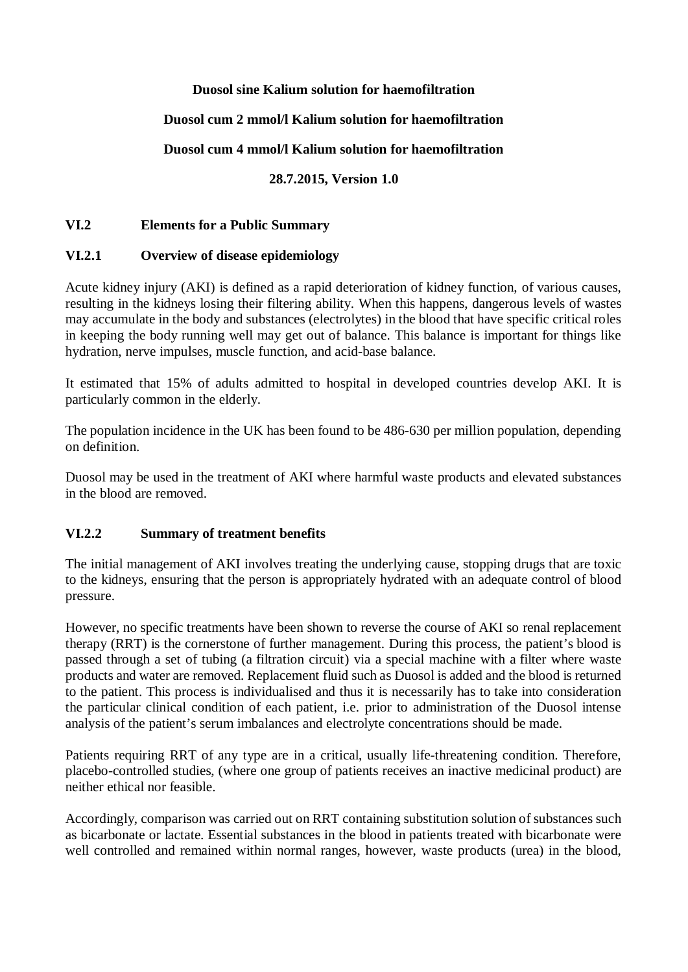#### **Duosol sine Kalium solution for haemofiltration**

## **Duosol cum 2 mmol/l Kalium solution for haemofiltration**

## **Duosol cum 4 mmol/l Kalium solution for haemofiltration**

## **28.7.2015, Version 1.0**

## **VI.2 Elements for a Public Summary**

## **VI.2.1 Overview of disease epidemiology**

Acute kidney injury (AKI) is defined as a rapid deterioration of kidney function, of various causes, resulting in the kidneys losing their filtering ability. When this happens, dangerous levels of wastes may accumulate in the body and substances (electrolytes) in the blood that have specific critical roles in keeping the body running well may get out of balance. This balance is important for things like hydration, nerve impulses, muscle function, and acid-base balance.

It estimated that 15% of adults admitted to hospital in developed countries develop AKI. It is particularly common in the elderly.

The population incidence in the UK has been found to be 486-630 per million population, depending on definition.

Duosol may be used in the treatment of AKI where harmful waste products and elevated substances in the blood are removed.

#### **VI.2.2 Summary of treatment benefits**

The initial management of AKI involves treating the underlying cause, stopping drugs that are toxic to the kidneys, ensuring that the person is appropriately hydrated with an adequate control of blood pressure.

However, no specific treatments have been shown to reverse the course of AKI so renal replacement therapy (RRT) is the cornerstone of further management. During this process, the patient's blood is passed through a set of tubing (a filtration circuit) via a special machine with a filter where waste products and water are removed. Replacement fluid such as Duosol is added and the blood is returned to the patient. This process is individualised and thus it is necessarily has to take into consideration the particular clinical condition of each patient, i.e. prior to administration of the Duosol intense analysis of the patient's serum imbalances and electrolyte concentrations should be made.

Patients requiring RRT of any type are in a critical, usually life-threatening condition. Therefore, placebo-controlled studies, (where one group of patients receives an inactive medicinal product) are neither ethical nor feasible.

Accordingly, comparison was carried out on RRT containing substitution solution of substances such as bicarbonate or lactate. Essential substances in the blood in patients treated with bicarbonate were well controlled and remained within normal ranges, however, waste products (urea) in the blood,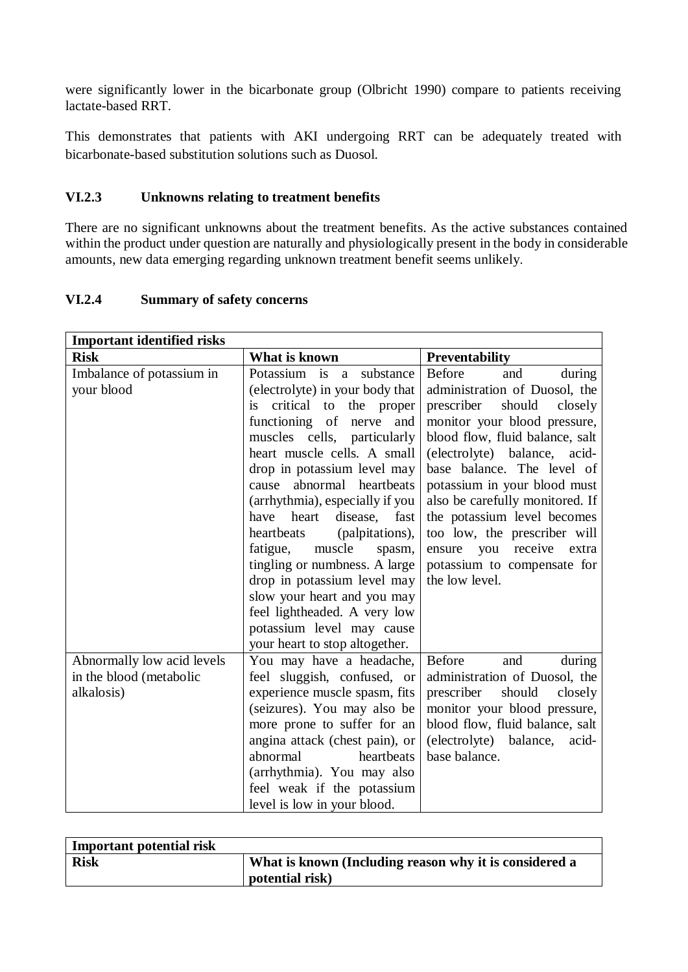were significantly lower in the bicarbonate group (Olbricht 1990) compare to patients receiving lactate-based RRT.

This demonstrates that patients with AKI undergoing RRT can be adequately treated with bicarbonate-based substitution solutions such as Duosol.

#### **VI.2.3 Unknowns relating to treatment benefits**

There are no significant unknowns about the treatment benefits. As the active substances contained within the product under question are naturally and physiologically present in the body in considerable amounts, new data emerging regarding unknown treatment benefit seems unlikely.

## **VI.2.4 Summary of safety concerns**

| <b>Important identified risks</b> |                                        |                                                                 |  |  |  |
|-----------------------------------|----------------------------------------|-----------------------------------------------------------------|--|--|--|
| <b>Risk</b>                       | What is known                          | <b>Preventability</b>                                           |  |  |  |
| Imbalance of potassium in         | Potassium is a substance               | <b>Before</b><br>during<br>and                                  |  |  |  |
| your blood                        | (electrolyte) in your body that        | administration of Duosol, the                                   |  |  |  |
|                                   | critical to<br>the proper<br><i>is</i> | prescriber<br>should<br>closely                                 |  |  |  |
|                                   | functioning of<br>nerve and            | monitor your blood pressure,<br>blood flow, fluid balance, salt |  |  |  |
|                                   | muscles cells, particularly            |                                                                 |  |  |  |
|                                   | heart muscle cells. A small            | (electrolyte) balance, acid-                                    |  |  |  |
|                                   | drop in potassium level may            | base balance. The level of                                      |  |  |  |
|                                   | abnormal heartbeats<br>cause           | potassium in your blood must                                    |  |  |  |
|                                   | (arrhythmia), especially if you        | also be carefully monitored. If                                 |  |  |  |
|                                   | heart<br>have<br>disease,<br>fast      | the potassium level becomes                                     |  |  |  |
|                                   | heartbeats<br>(palpitations),          | too low, the prescriber will                                    |  |  |  |
|                                   | muscle<br>fatigue,<br>spasm,           | receive<br>you<br>ensure<br>extra                               |  |  |  |
|                                   | tingling or numbness. A large          | potassium to compensate for                                     |  |  |  |
|                                   | drop in potassium level may            | the low level.                                                  |  |  |  |
|                                   | slow your heart and you may            |                                                                 |  |  |  |
|                                   | feel lightheaded. A very low           |                                                                 |  |  |  |
|                                   | potassium level may cause              |                                                                 |  |  |  |
|                                   | your heart to stop altogether.         |                                                                 |  |  |  |
| Abnormally low acid levels        | You may have a headache,               | Before<br>and<br>during                                         |  |  |  |
| in the blood (metabolic           | feel sluggish, confused, or            | administration of Duosol, the                                   |  |  |  |
| alkalosis)                        | experience muscle spasm, fits          | prescriber<br>should<br>closely                                 |  |  |  |
|                                   | (seizures). You may also be            | monitor your blood pressure,                                    |  |  |  |
|                                   | more prone to suffer for an            | blood flow, fluid balance, salt                                 |  |  |  |
|                                   | angina attack (chest pain), or         | (electrolyte) balance,<br>acid-                                 |  |  |  |
|                                   | abnormal<br>heartbeats                 | base balance.                                                   |  |  |  |
|                                   | (arrhythmia). You may also             |                                                                 |  |  |  |
|                                   | feel weak if the potassium             |                                                                 |  |  |  |
|                                   | level is low in your blood.            |                                                                 |  |  |  |

| <b>Important potential risk</b> |                                                        |
|---------------------------------|--------------------------------------------------------|
| <b>Risk</b>                     | What is known (Including reason why it is considered a |
|                                 | potential risk)                                        |